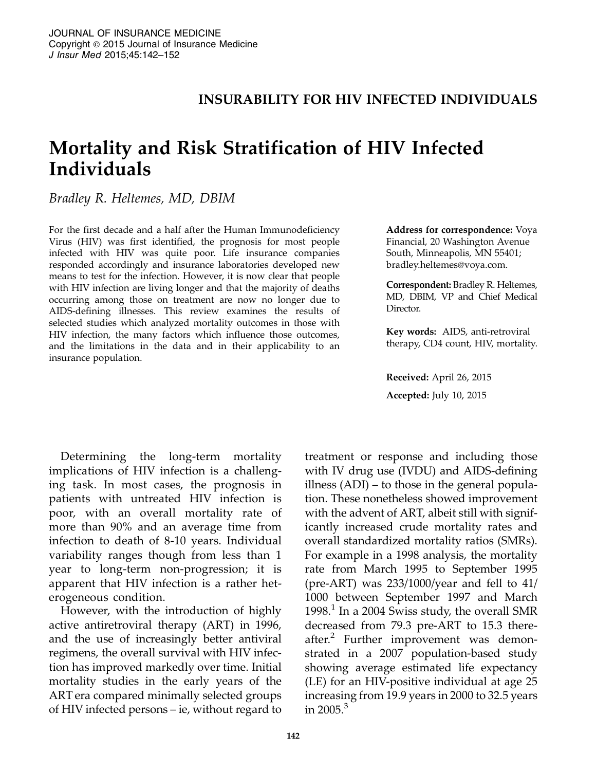#### INSURABILITY FOR HIV INFECTED INDIVIDUALS

# Mortality and Risk Stratification of HIV Infected Individuals

Bradley R. Heltemes, MD, DBIM

For the first decade and a half after the Human Immunodeficiency Virus (HIV) was first identified, the prognosis for most people infected with HIV was quite poor. Life insurance companies responded accordingly and insurance laboratories developed new means to test for the infection. However, it is now clear that people with HIV infection are living longer and that the majority of deaths occurring among those on treatment are now no longer due to AIDS-defining illnesses. This review examines the results of selected studies which analyzed mortality outcomes in those with HIV infection, the many factors which influence those outcomes, and the limitations in the data and in their applicability to an insurance population.

Determining the long-term mortality implications of HIV infection is a challenging task. In most cases, the prognosis in patients with untreated HIV infection is poor, with an overall mortality rate of more than 90% and an average time from infection to death of 8-10 years. Individual variability ranges though from less than 1 year to long-term non-progression; it is apparent that HIV infection is a rather heterogeneous condition.

However, with the introduction of highly active antiretroviral therapy (ART) in 1996, and the use of increasingly better antiviral regimens, the overall survival with HIV infection has improved markedly over time. Initial mortality studies in the early years of the ART era compared minimally selected groups of HIV infected persons – ie, without regard to

Address for correspondence: Voya Financial, 20 Washington Avenue South, Minneapolis, MN 55401; bradley.heltemes@voya.com.

Correspondent: Bradley R. Heltemes, MD, DBIM, VP and Chief Medical Director.

Key words: AIDS, anti-retroviral therapy, CD4 count, HIV, mortality.

Received: April 26, 2015 Accepted: July 10, 2015

treatment or response and including those with IV drug use (IVDU) and AIDS-defining illness (ADI) – to those in the general population. These nonetheless showed improvement with the advent of ART, albeit still with significantly increased crude mortality rates and overall standardized mortality ratios (SMRs). For example in a 1998 analysis, the mortality rate from March 1995 to September 1995 (pre-ART) was  $233/1000$ /year and fell to  $41/$ 1000 between September 1997 and March 1998.<sup>1</sup> In a 2004 Swiss study, the overall SMR decreased from 79.3 pre-ART to 15.3 thereafter.<sup>2</sup> Further improvement was demonstrated in a 2007 population-based study showing average estimated life expectancy (LE) for an HIV-positive individual at age 25 increasing from 19.9 years in 2000 to 32.5 years in  $2005$ <sup>3</sup>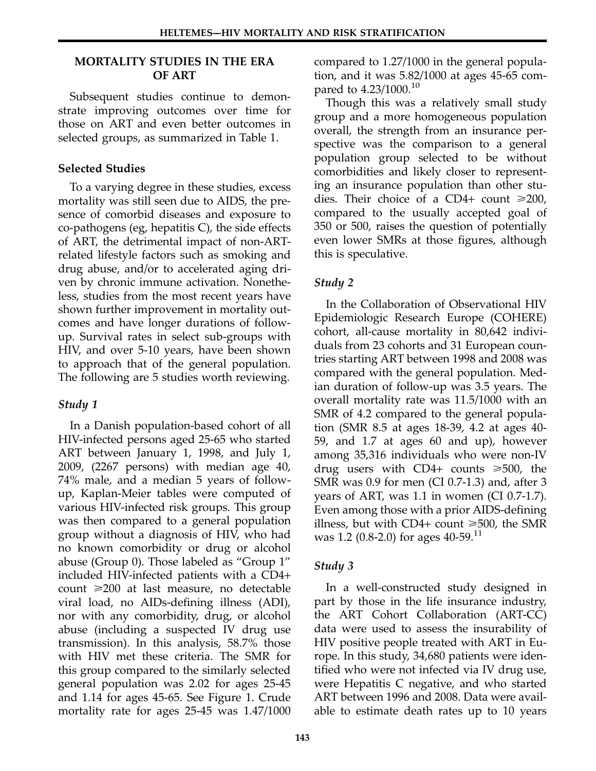#### MORTALITY STUDIES IN THE ERA OF ART

Subsequent studies continue to demonstrate improving outcomes over time for those on ART and even better outcomes in selected groups, as summarized in Table 1.

### Selected Studies

To a varying degree in these studies, excess mortality was still seen due to AIDS, the presence of comorbid diseases and exposure to co-pathogens (eg, hepatitis C), the side effects of ART, the detrimental impact of non-ARTrelated lifestyle factors such as smoking and drug abuse, and/or to accelerated aging driven by chronic immune activation. Nonetheless, studies from the most recent years have shown further improvement in mortality outcomes and have longer durations of followup. Survival rates in select sub-groups with HIV, and over 5-10 years, have been shown to approach that of the general population. The following are 5 studies worth reviewing.

# Study 1

In a Danish population-based cohort of all HIV-infected persons aged 25-65 who started ART between January 1, 1998, and July 1, 2009, (2267 persons) with median age 40, 74% male, and a median 5 years of followup, Kaplan-Meier tables were computed of various HIV-infected risk groups. This group was then compared to a general population group without a diagnosis of HIV, who had no known comorbidity or drug or alcohol abuse (Group 0). Those labeled as "Group 1" included HIV-infected patients with a CD4+ count  $\geq 200$  at last measure, no detectable viral load, no AIDs-defining illness (ADI), nor with any comorbidity, drug, or alcohol abuse (including a suspected IV drug use transmission). In this analysis, 58.7% those with HIV met these criteria. The SMR for this group compared to the similarly selected general population was 2.02 for ages 25-45 and 1.14 for ages 45-65. See Figure 1. Crude mortality rate for ages 25-45 was 1.47/1000

compared to 1.27/1000 in the general population, and it was 5.82/1000 at ages 45-65 compared to 4.23/1000.<sup>10</sup>

Though this was a relatively small study group and a more homogeneous population overall, the strength from an insurance perspective was the comparison to a general population group selected to be without comorbidities and likely closer to representing an insurance population than other studies. Their choice of a CD4+ count  $\geq 200$ , compared to the usually accepted goal of 350 or 500, raises the question of potentially even lower SMRs at those figures, although this is speculative.

# Study 2

In the Collaboration of Observational HIV Epidemiologic Research Europe (COHERE) cohort, all-cause mortality in 80,642 individuals from 23 cohorts and 31 European countries starting ART between 1998 and 2008 was compared with the general population. Median duration of follow-up was 3.5 years. The overall mortality rate was 11.5/1000 with an SMR of 4.2 compared to the general population (SMR 8.5 at ages 18-39, 4.2 at ages 40- 59, and 1.7 at ages 60 and up), however among 35,316 individuals who were non-IV drug users with  $CD4+$  counts  $\geq 500$ , the SMR was 0.9 for men (CI 0.7-1.3) and, after 3 years of ART, was 1.1 in women (CI 0.7-1.7). Even among those with a prior AIDS-defining illness, but with  $CD4+$  count  $\geq 500$ , the SMR was 1.2 (0.8-2.0) for ages  $40-59$ .<sup>11</sup>

# Study 3

In a well-constructed study designed in part by those in the life insurance industry, the ART Cohort Collaboration (ART-CC) data were used to assess the insurability of HIV positive people treated with ART in Eu‐ rope. In this study, 34,680 patients were identified who were not infected via IV drug use, were Hepatitis C negative, and who started ART between 1996 and 2008. Data were available to estimate death rates up to 10 years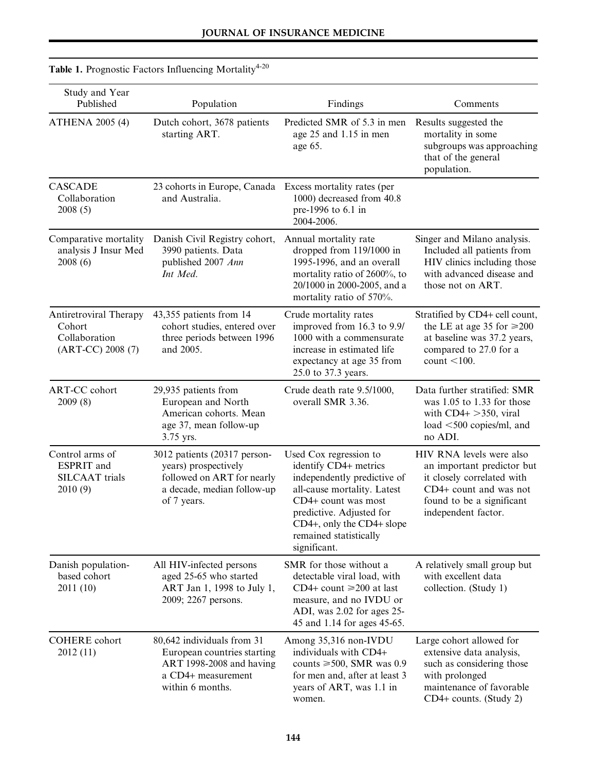| Study and Year<br>Published                                            | Population                                                                                                                      | Findings                                                                                                                                                                                                                                | Comments                                                                                                                                                           |
|------------------------------------------------------------------------|---------------------------------------------------------------------------------------------------------------------------------|-----------------------------------------------------------------------------------------------------------------------------------------------------------------------------------------------------------------------------------------|--------------------------------------------------------------------------------------------------------------------------------------------------------------------|
| <b>ATHENA 2005 (4)</b>                                                 | Dutch cohort, 3678 patients<br>starting ART.                                                                                    | Predicted SMR of 5.3 in men<br>age 25 and 1.15 in men<br>age 65.                                                                                                                                                                        | Results suggested the<br>mortality in some<br>subgroups was approaching<br>that of the general<br>population.                                                      |
| <b>CASCADE</b><br>Collaboration<br>2008(5)                             | 23 cohorts in Europe, Canada Excess mortality rates (per<br>and Australia.                                                      | 1000) decreased from 40.8<br>pre-1996 to 6.1 in<br>2004-2006.                                                                                                                                                                           |                                                                                                                                                                    |
| Comparative mortality<br>analysis J Insur Med<br>2008(6)               | Danish Civil Registry cohort,<br>3990 patients. Data<br>published 2007 Ann<br>Int Med.                                          | Annual mortality rate<br>dropped from 119/1000 in<br>1995-1996, and an overall<br>mortality ratio of 2600%, to<br>20/1000 in 2000-2005, and a<br>mortality ratio of 570%.                                                               | Singer and Milano analysis.<br>Included all patients from<br>HIV clinics including those<br>with advanced disease and<br>those not on ART.                         |
| Antiretroviral Therapy<br>Cohort<br>Collaboration<br>(ART-CC) 2008 (7) | 43,355 patients from 14<br>cohort studies, entered over<br>three periods between 1996<br>and 2005.                              | Crude mortality rates<br>improved from 16.3 to 9.9/<br>1000 with a commensurate<br>increase in estimated life<br>expectancy at age 35 from<br>25.0 to 37.3 years.                                                                       | Stratified by CD4+ cell count,<br>the LE at age 35 for $\geq 200$<br>at baseline was 37.2 years,<br>compared to 27.0 for a<br>count $<$ 100.                       |
| <b>ART-CC</b> cohort<br>2009(8)                                        | 29,935 patients from<br>European and North<br>American cohorts. Mean<br>age 37, mean follow-up<br>3.75 yrs.                     | Crude death rate 9.5/1000,<br>overall SMR 3.36.                                                                                                                                                                                         | Data further stratified: SMR<br>was 1.05 to 1.33 for those<br>with $CD4+ >350$ , viral<br>load $<$ 500 copies/ml, and<br>no ADI.                                   |
| Control arms of<br>ESPRIT and<br><b>SILCAAT</b> trials<br>2010(9)      | 3012 patients (20317 person-<br>years) prospectively<br>followed on ART for nearly<br>a decade, median follow-up<br>of 7 years. | Used Cox regression to<br>identify CD4+ metrics<br>independently predictive of<br>all-cause mortality. Latest<br>CD4+ count was most<br>predictive. Adjusted for<br>CD4+, only the CD4+ slope<br>remained statistically<br>significant. | HIV RNA levels were also<br>an important predictor but<br>it closely correlated with<br>CD4+ count and was not<br>found to be a significant<br>independent factor. |
| Danish population-<br>based cohort<br>2011 (10)                        | All HIV-infected persons<br>aged 25-65 who started<br>ART Jan 1, 1998 to July 1,<br>2009; 2267 persons.                         | SMR for those without a<br>detectable viral load, with<br>CD4+ count $\geq$ 200 at last<br>measure, and no IVDU or<br>ADI, was 2.02 for ages 25-<br>45 and 1.14 for ages 45-65.                                                         | A relatively small group but<br>with excellent data<br>collection. (Study 1)                                                                                       |
| <b>COHERE</b> cohort<br>2012 (11)                                      | 80,642 individuals from 31<br>European countries starting<br>ART 1998-2008 and having<br>a CD4+ measurement<br>within 6 months. | Among 35,316 non-IVDU<br>individuals with CD4+<br>counts $\geq 500$ , SMR was 0.9<br>for men and, after at least 3<br>years of ART, was 1.1 in<br>women.                                                                                | Large cohort allowed for<br>extensive data analysis,<br>such as considering those<br>with prolonged<br>maintenance of favorable<br>CD4+ counts. (Study 2)          |

# Table 1. Prognostic Factors Influencing Mortality<sup>4-20</sup>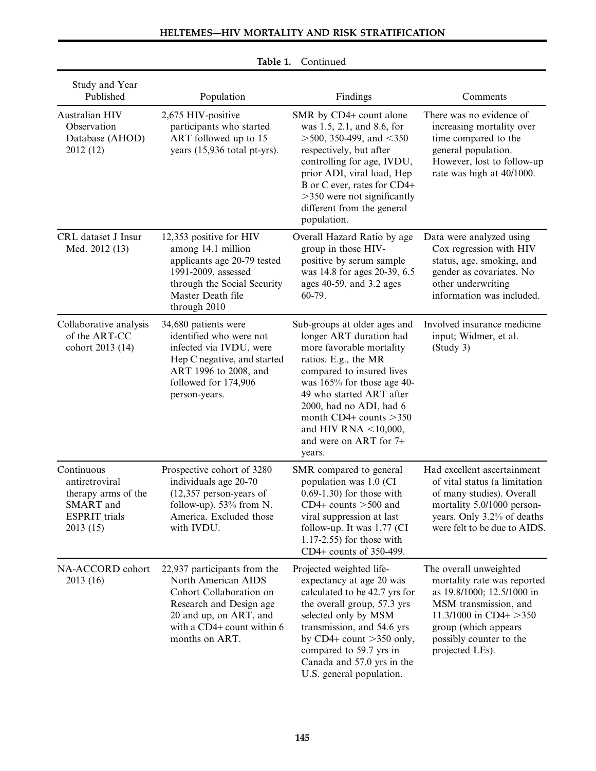| Study and Year<br>Published                                                                          | Population                                                                                                                                                                          | Findings                                                                                                                                                                                                                                                                                                                 | Comments                                                                                                                                                                                                      |
|------------------------------------------------------------------------------------------------------|-------------------------------------------------------------------------------------------------------------------------------------------------------------------------------------|--------------------------------------------------------------------------------------------------------------------------------------------------------------------------------------------------------------------------------------------------------------------------------------------------------------------------|---------------------------------------------------------------------------------------------------------------------------------------------------------------------------------------------------------------|
| Australian HIV<br>Observation<br>Database (AHOD)<br>2012 (12)                                        | 2,675 HIV-positive<br>participants who started<br>ART followed up to 15<br>years (15,936 total pt-yrs).                                                                             | SMR by CD4+ count alone<br>was 1.5, 2.1, and 8.6, for<br>$>$ 500, 350-499, and $<$ 350<br>respectively, but after<br>controlling for age, IVDU,<br>prior ADI, viral load, Hep<br>B or C ever, rates for CD4+<br>$>350$ were not significantly<br>different from the general<br>population.                               | There was no evidence of<br>increasing mortality over<br>time compared to the<br>general population.<br>However, lost to follow-up<br>rate was high at 40/1000.                                               |
| CRL dataset J Insur<br>Med. 2012 (13)                                                                | 12,353 positive for HIV<br>among 14.1 million<br>applicants age 20-79 tested<br>1991-2009, assessed<br>through the Social Security<br>Master Death file<br>through 2010             | Overall Hazard Ratio by age<br>group in those HIV-<br>positive by serum sample<br>was 14.8 for ages 20-39, 6.5<br>ages 40-59, and 3.2 ages<br>60-79.                                                                                                                                                                     | Data were analyzed using<br>Cox regression with HIV<br>status, age, smoking, and<br>gender as covariates. No<br>other underwriting<br>information was included.                                               |
| Collaborative analysis<br>of the ART-CC<br>cohort 2013 (14)                                          | 34,680 patients were<br>identified who were not<br>infected via IVDU, were<br>Hep C negative, and started<br>ART 1996 to 2008, and<br>followed for 174,906<br>person-years.         | Sub-groups at older ages and<br>longer ART duration had<br>more favorable mortality<br>ratios. E.g., the MR<br>compared to insured lives<br>was 165% for those age 40-<br>49 who started ART after<br>2000, had no ADI, had 6<br>month CD4+ counts $>350$<br>and HIV RNA $<$ 10,000,<br>and were on ART for 7+<br>years. | Involved insurance medicine<br>input; Widmer, et al.<br>(Study 3)                                                                                                                                             |
| Continuous<br>antiretroviral<br>therapy arms of the<br>SMART and<br><b>ESPRIT</b> trials<br>2013(15) | Prospective cohort of 3280<br>individuals age 20-70<br>$(12,357$ person-years of<br>follow-up). 53% from N.<br>America. Excluded those<br>with IVDU.                                | SMR compared to general<br>population was 1.0 (CI<br>$0.69-1.30$ ) for those with<br>CD4+ counts $>500$ and<br>viral suppression at last<br>follow-up. It was 1.77 (CI<br>$1.17-2.55$ ) for those with<br>CD4+ counts of 350-499.                                                                                        | Had excellent ascertainment<br>of vital status (a limitation<br>of many studies). Overall<br>mortality 5.0/1000 person-<br>years. Only 3.2% of deaths<br>were felt to be due to AIDS.                         |
| NA-ACCORD cohort<br>2013(16)                                                                         | 22,937 participants from the<br>North American AIDS<br>Cohort Collaboration on<br>Research and Design age<br>20 and up, on ART, and<br>with a CD4+ count within 6<br>months on ART. | Projected weighted life-<br>expectancy at age 20 was<br>calculated to be 42.7 yrs for<br>the overall group, 57.3 yrs<br>selected only by MSM<br>transmission, and 54.6 yrs<br>by CD4+ count $>350$ only,<br>compared to 59.7 yrs in<br>Canada and 57.0 yrs in the<br>U.S. general population.                            | The overall unweighted<br>mortality rate was reported<br>as 19.8/1000; 12.5/1000 in<br>MSM transmission, and<br>11.3/1000 in CD4+ > 350<br>group (which appears<br>possibly counter to the<br>projected LEs). |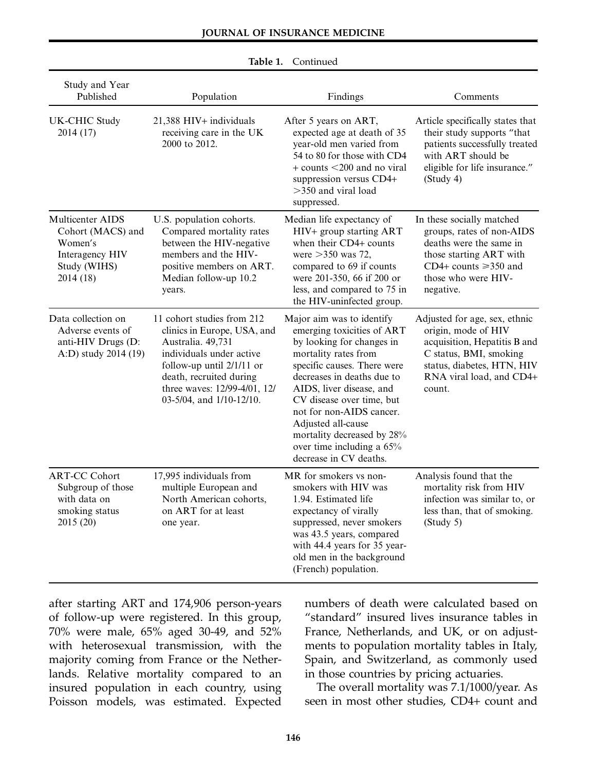| Study and Year<br>Published                                                                      | Population                                                                                                                                                                                                                       | Findings                                                                                                                                                                                                                                                                                                                                                                  | Comments                                                                                                                                                                           |
|--------------------------------------------------------------------------------------------------|----------------------------------------------------------------------------------------------------------------------------------------------------------------------------------------------------------------------------------|---------------------------------------------------------------------------------------------------------------------------------------------------------------------------------------------------------------------------------------------------------------------------------------------------------------------------------------------------------------------------|------------------------------------------------------------------------------------------------------------------------------------------------------------------------------------|
| <b>UK-CHIC Study</b><br>2014 (17)                                                                | 21,388 HIV+ individuals<br>receiving care in the UK<br>2000 to 2012.                                                                                                                                                             | After 5 years on ART,<br>expected age at death of 35<br>year-old men varied from<br>54 to 80 for those with CD4<br>$+$ counts $<$ 200 and no viral<br>suppression versus CD4+<br>$>350$ and viral load<br>suppressed.                                                                                                                                                     | Article specifically states that<br>their study supports "that<br>patients successfully treated<br>with ART should be<br>eligible for life insurance."<br>(Study 4)                |
| Multicenter AIDS<br>Cohort (MACS) and<br>Women's<br>Interagency HIV<br>Study (WIHS)<br>2014 (18) | U.S. population cohorts.<br>Compared mortality rates<br>between the HIV-negative<br>members and the HIV-<br>positive members on ART.<br>Median follow-up 10.2<br>years.                                                          | Median life expectancy of<br>HIV+ group starting ART<br>when their CD4+ counts<br>were $>350$ was 72,<br>compared to 69 if counts<br>were 201-350, 66 if 200 or<br>less, and compared to 75 in<br>the HIV-uninfected group.                                                                                                                                               | In these socially matched<br>groups, rates of non-AIDS<br>deaths were the same in<br>those starting ART with<br>CD4+ counts $\geq$ 350 and<br>those who were HIV-<br>negative.     |
| Data collection on<br>Adverse events of<br>anti-HIV Drugs (D:<br>A:D) study 2014 (19)            | 11 cohort studies from 212<br>clinics in Europe, USA, and<br>Australia. 49,731<br>individuals under active<br>follow-up until $2/1/11$ or<br>death, recruited during<br>three waves: 12/99-4/01, 12/<br>03-5/04, and 1/10-12/10. | Major aim was to identify<br>emerging toxicities of ART<br>by looking for changes in<br>mortality rates from<br>specific causes. There were<br>decreases in deaths due to<br>AIDS, liver disease, and<br>CV disease over time, but<br>not for non-AIDS cancer.<br>Adjusted all-cause<br>mortality decreased by 28%<br>over time including a 65%<br>decrease in CV deaths. | Adjusted for age, sex, ethnic<br>origin, mode of HIV<br>acquisition, Hepatitis B and<br>C status, BMI, smoking<br>status, diabetes, HTN, HIV<br>RNA viral load, and CD4+<br>count. |
| <b>ART-CC Cohort</b><br>Subgroup of those<br>with data on<br>smoking status<br>2015 (20)         | 17,995 individuals from<br>multiple European and<br>North American cohorts,<br>on ART for at least<br>one year.                                                                                                                  | MR for smokers vs non-<br>smokers with HIV was<br>1.94. Estimated life<br>expectancy of virally<br>suppressed, never smokers<br>was 43.5 years, compared<br>with 44.4 years for 35 year-<br>old men in the background<br>(French) population.                                                                                                                             | Analysis found that the<br>mortality risk from HIV<br>infection was similar to, or<br>less than, that of smoking.<br>(Study 5)                                                     |

after starting ART and 174,906 person-years of follow-up were registered. In this group, 70% were male, 65% aged 30-49, and 52% with heterosexual transmission, with the majority coming from France or the Netherlands. Relative mortality compared to an insured population in each country, using Poisson models, was estimated. Expected

numbers of death were calculated based on "standard" insured lives insurance tables in France, Netherlands, and UK, or on adjustments to population mortality tables in Italy, Spain, and Switzerland, as commonly used in those countries by pricing actuaries.

The overall mortality was 7.1/1000/year. As seen in most other studies, CD4+ count and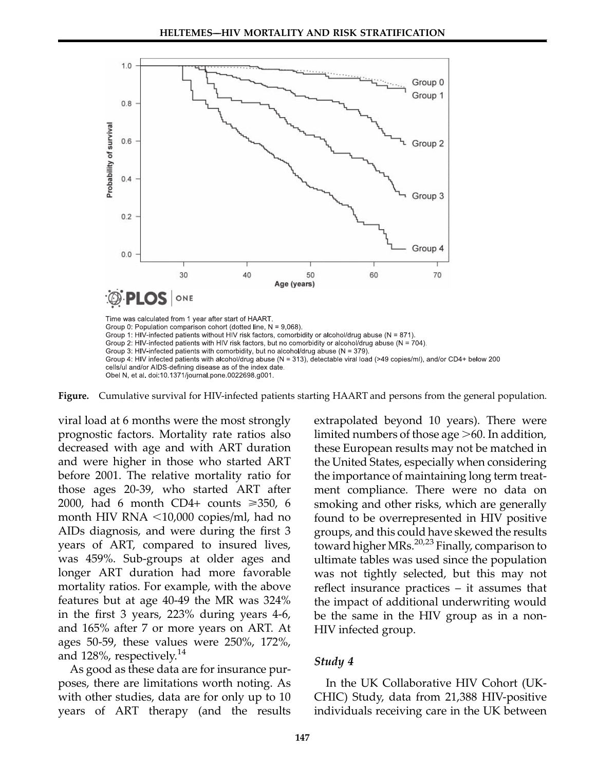

Figure. Cumulative survival for HIV-infected patients starting HAART and persons from the general population.

viral load at 6 months were the most strongly prognostic factors. Mortality rate ratios also decreased with age and with ART duration and were higher in those who started ART before 2001. The relative mortality ratio for those ages 20-39, who started ART after 2000, had 6 month CD4+ counts  $\geq 350$ , 6 month HIV RNA  $\leq 10,000$  copies/ml, had no AIDs diagnosis, and were during the first 3 years of ART, compared to insured lives, was 459%. Sub-groups at older ages and longer ART duration had more favorable mortality ratios. For example, with the above features but at age 40-49 the MR was 324% in the first 3 years, 223% during years 4-6, and 165% after 7 or more years on ART. At ages 50-59, these values were 250%, 172%, and 128%, respectively.<sup>14</sup>

As good as these data are for insurance purposes, there are limitations worth noting. As with other studies, data are for only up to 10 years of ART therapy (and the results extrapolated beyond 10 years). There were limited numbers of those age  $>60$ . In addition, these European results may not be matched in the United States, especially when considering the importance of maintaining long term treatment compliance. There were no data on smoking and other risks, which are generally found to be overrepresented in HIV positive groups, and this could have skewed the results toward higher MRs.<sup>20,23</sup> Finally, comparison to ultimate tables was used since the population was not tightly selected, but this may not reflect insurance practices – it assumes that the impact of additional underwriting would be the same in the HIV group as in a non-HIV infected group.

#### Study 4

In the UK Collaborative HIV Cohort (UK-CHIC) Study, data from 21,388 HIV-positive individuals receiving care in the UK between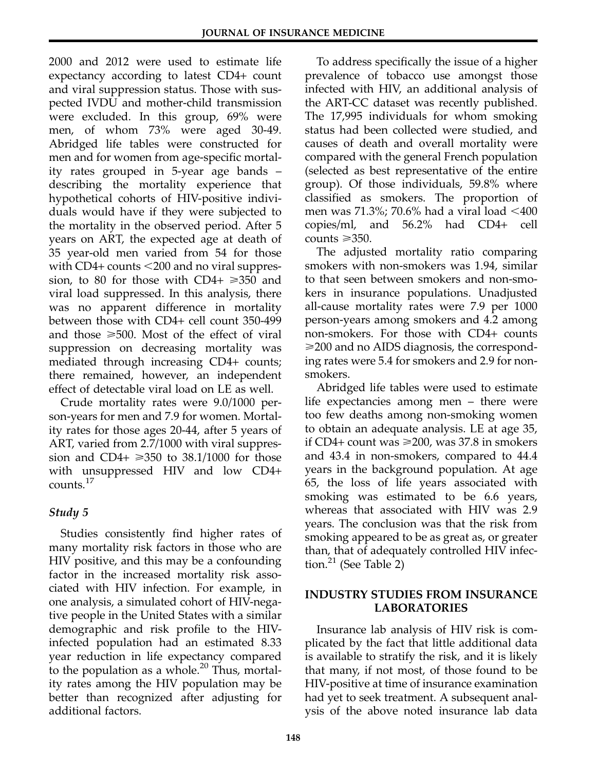2000 and 2012 were used to estimate life expectancy according to latest CD4+ count and viral suppression status. Those with suspected IVDU and mother-child transmission were excluded. In this group, 69% were men, of whom 73% were aged 30-49. Abridged life tables were constructed for men and for women from age-specific mortality rates grouped in 5-year age bands – describing the mortality experience that hypothetical cohorts of HIV-positive individuals would have if they were subjected to the mortality in the observed period. After 5 years on ART, the expected age at death of 35 year-old men varied from 54 for those with  $CD4+$  counts  $<$  200 and no viral suppression, to 80 for those with CD4+  $\geq 350$  and viral load suppressed. In this analysis, there was no apparent difference in mortality between those with CD4+ cell count 350-499 and those  $\geq 500$ . Most of the effect of viral suppression on decreasing mortality was mediated through increasing CD4+ counts; there remained, however, an independent effect of detectable viral load on LE as well.

Crude mortality rates were 9.0/1000 person-years for men and 7.9 for women. Mortality rates for those ages 20-44, after 5 years of ART, varied from 2.7/1000 with viral suppression and CD4+  $\geq$ 350 to 38.1/1000 for those with unsuppressed HIV and low CD4+ counts.<sup>17</sup>

# Study 5

Studies consistently find higher rates of many mortality risk factors in those who are HIV positive, and this may be a confounding factor in the increased mortality risk associated with HIV infection. For example, in one analysis, a simulated cohort of HIV-negative people in the United States with a similar demographic and risk profile to the HIVinfected population had an estimated 8.33 year reduction in life expectancy compared to the population as a whole. $20$  Thus, mortality rates among the HIV population may be better than recognized after adjusting for additional factors.

To address specifically the issue of a higher prevalence of tobacco use amongst those infected with HIV, an additional analysis of the ART-CC dataset was recently published. The 17,995 individuals for whom smoking status had been collected were studied, and causes of death and overall mortality were compared with the general French population (selected as best representative of the entire group). Of those individuals, 59.8% where classified as smokers. The proportion of men was 71.3%; 70.6% had a viral load  $\leq 400$ copies/ml, and 56.2% had CD4+ cell counts  $\geq 350$ .

The adjusted mortality ratio comparing smokers with non-smokers was 1.94, similar to that seen between smokers and non-smokers in insurance populations. Unadjusted all-cause mortality rates were 7.9 per 1000 person-years among smokers and 4.2 among non-smokers. For those with CD4+ counts >200 and no AIDS diagnosis, the corresponding rates were 5.4 for smokers and 2.9 for nonsmokers.

Abridged life tables were used to estimate life expectancies among men – there were too few deaths among non-smoking women to obtain an adequate analysis. LE at age 35, if CD4+ count was  $\geq 200$ , was 37.8 in smokers and 43.4 in non-smokers, compared to 44.4 years in the background population. At age 65, the loss of life years associated with smoking was estimated to be 6.6 years, whereas that associated with HIV was 2.9 years. The conclusion was that the risk from smoking appeared to be as great as, or greater than, that of adequately controlled HIV infection. $21$  (See Table 2)

#### INDUSTRY STUDIES FROM INSURANCE LABORATORIES

Insurance lab analysis of HIV risk is complicated by the fact that little additional data is available to stratify the risk, and it is likely that many, if not most, of those found to be HIV-positive at time of insurance examination had yet to seek treatment. A subsequent anal‐ ysis of the above noted insurance lab data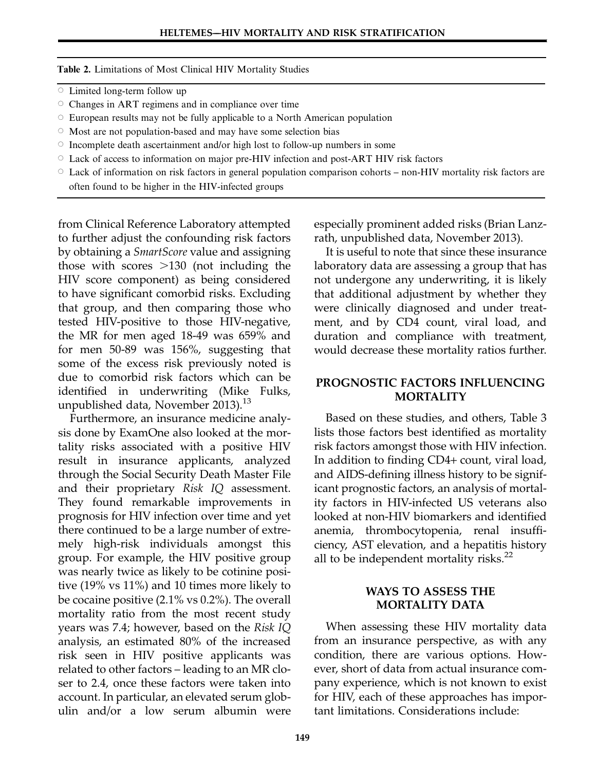Table 2. Limitations of Most Clinical HIV Mortality Studies

- $\circ$  Limited long-term follow up
- $\circ$  Changes in ART regimens and in compliance over time
- $\circ$  European results may not be fully applicable to a North American population
- $\circ$  Most are not population-based and may have some selection bias
- $\circ$  Incomplete death ascertainment and/or high lost to follow-up numbers in some
- $\circ$  Lack of access to information on major pre-HIV infection and post-ART HIV risk factors
- $\circ$  Lack of information on risk factors in general population comparison cohorts non-HIV mortality risk factors are often found to be higher in the HIV-infected groups

from Clinical Reference Laboratory attempted to further adjust the confounding risk factors by obtaining a SmartScore value and assigning those with scores  $>130$  (not including the HIV score component) as being considered to have significant comorbid risks. Excluding that group, and then comparing those who tested HIV-positive to those HIV-negative, the MR for men aged 18-49 was 659% and for men 50-89 was 156%, suggesting that some of the excess risk previously noted is due to comorbid risk factors which can be identified in underwriting (Mike Fulks, unpublished data, November 2013). $^{13}$ 

Furthermore, an insurance medicine analysis done by ExamOne also looked at the mortality risks associated with a positive HIV result in insurance applicants, analyzed through the Social Security Death Master File and their proprietary Risk IQ assessment. They found remarkable improvements in prognosis for HIV infection over time and yet there continued to be a large number of extremely high-risk individuals amongst this group. For example, the HIV positive group was nearly twice as likely to be cotinine positive (19% vs 11%) and 10 times more likely to be cocaine positive (2.1% vs 0.2%). The overall mortality ratio from the most recent study years was 7.4; however, based on the Risk IQ analysis, an estimated 80% of the increased risk seen in HIV positive applicants was related to other factors – leading to an MR closer to 2.4, once these factors were taken into account. In particular, an elevated serum glob‐ ulin and/or a low serum albumin were

especially prominent added risks (Brian Lanzrath, unpublished data, November 2013).

It is useful to note that since these insurance laboratory data are assessing a group that has not undergone any underwriting, it is likely that additional adjustment by whether they were clinically diagnosed and under treatment, and by CD4 count, viral load, and duration and compliance with treatment, would decrease these mortality ratios further.

#### PROGNOSTIC FACTORS INFLUENCING MORTALITY

Based on these studies, and others, Table 3 lists those factors best identified as mortality risk factors amongst those with HIV infection. In addition to finding CD4+ count, viral load, and AIDS-defining illness history to be significant prognostic factors, an analysis of mortality factors in HIV-infected US veterans also looked at non-HIV biomarkers and identified anemia, thrombocytopenia, renal insufficiency, AST elevation, and a hepatitis history all to be independent mortality risks. $^{22}$ 

#### WAYS TO ASSESS THE MORTALITY DATA

When assessing these HIV mortality data from an insurance perspective, as with any condition, there are various options. However, short of data from actual insurance company experience, which is not known to exist for HIV, each of these approaches has important limitations. Considerations include: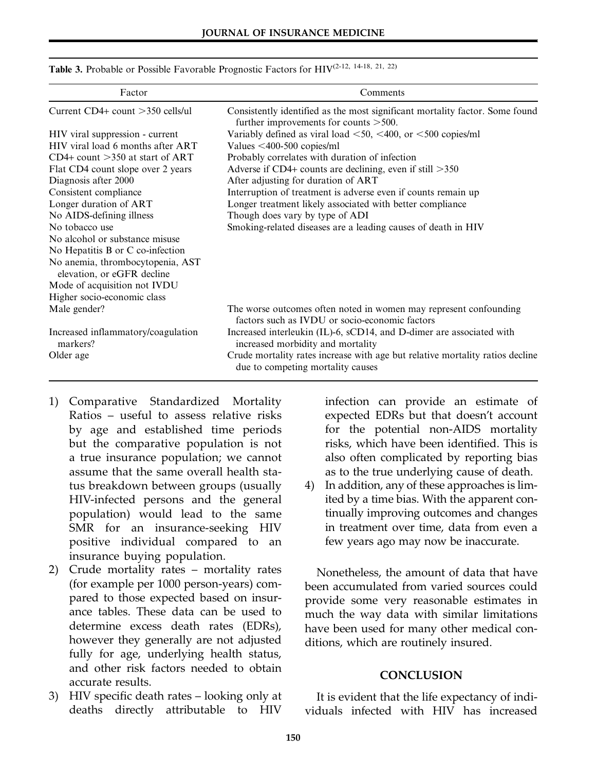| Factor                                                         | Comments                                                                                                                 |  |  |
|----------------------------------------------------------------|--------------------------------------------------------------------------------------------------------------------------|--|--|
| Current $CD4+$ count $>350$ cells/ul                           | Consistently identified as the most significant mortality factor. Some found<br>further improvements for counts $>500$ . |  |  |
| HIV viral suppression - current                                | Variably defined as viral load $\leq 50$ , $\leq 400$ , or $\leq 500$ copies/ml                                          |  |  |
| HIV viral load 6 months after ART                              | Values $\leq 400 - 500$ copies/ml                                                                                        |  |  |
| $CD4+$ count $>350$ at start of ART                            | Probably correlates with duration of infection                                                                           |  |  |
| Flat CD4 count slope over 2 years                              | Adverse if CD4+ counts are declining, even if still $>350$                                                               |  |  |
| Diagnosis after 2000                                           | After adjusting for duration of ART                                                                                      |  |  |
| Consistent compliance                                          | Interruption of treatment is adverse even if counts remain up                                                            |  |  |
| Longer duration of ART                                         | Longer treatment likely associated with better compliance                                                                |  |  |
| No AIDS-defining illness                                       | Though does vary by type of ADI                                                                                          |  |  |
| No tobacco use                                                 | Smoking-related diseases are a leading causes of death in HIV                                                            |  |  |
| No alcohol or substance misuse                                 |                                                                                                                          |  |  |
| No Hepatitis B or C co-infection                               |                                                                                                                          |  |  |
| No anemia, thrombocytopenia, AST<br>elevation, or eGFR decline |                                                                                                                          |  |  |
| Mode of acquisition not IVDU                                   |                                                                                                                          |  |  |
| Higher socio-economic class                                    |                                                                                                                          |  |  |
| Male gender?                                                   | The worse outcomes often noted in women may represent confounding<br>factors such as IVDU or socio-economic factors      |  |  |
| Increased inflammatory/coagulation<br>markers?                 | Increased interleukin (IL)-6, sCD14, and D-dimer are associated with<br>increased morbidity and mortality                |  |  |
| Older age                                                      | Crude mortality rates increase with age but relative mortality ratios decline<br>due to competing mortality causes       |  |  |

Table 3. Probable or Possible Favorable Prognostic Factors for HIV(2-12, 14-18, 21, 22)

- 1) Comparative Standardized Mortality Ratios – useful to assess relative risks by age and established time periods but the comparative population is not a true insurance population; we cannot assume that the same overall health status breakdown between groups (usually HIV-infected persons and the general population) would lead to the same SMR for an insurance-seeking HIV positive individual compared to an insurance buying population.
- 2) Crude mortality rates mortality rates (for example per 1000 person-years) compared to those expected based on insurance tables. These data can be used to determine excess death rates (EDRs), however they generally are not adjusted fully for age, underlying health status, and other risk factors needed to obtain accurate results.
- 3) HIV specific death rates looking only at deaths directly attributable to HIV

infection can provide an estimate of expected EDRs but that doesn't account for the potential non-AIDS mortality risks, which have been identified. This is also often complicated by reporting bias as to the true underlying cause of death.

4) In addition, any of these approaches is limited by a time bias. With the apparent continually improving outcomes and changes in treatment over time, data from even a few years ago may now be inaccurate.

Nonetheless, the amount of data that have been accumulated from varied sources could provide some very reasonable estimates in much the way data with similar limitations have been used for many other medical conditions, which are routinely insured.

#### **CONCLUSION**

It is evident that the life expectancy of individuals infected with HIV has increased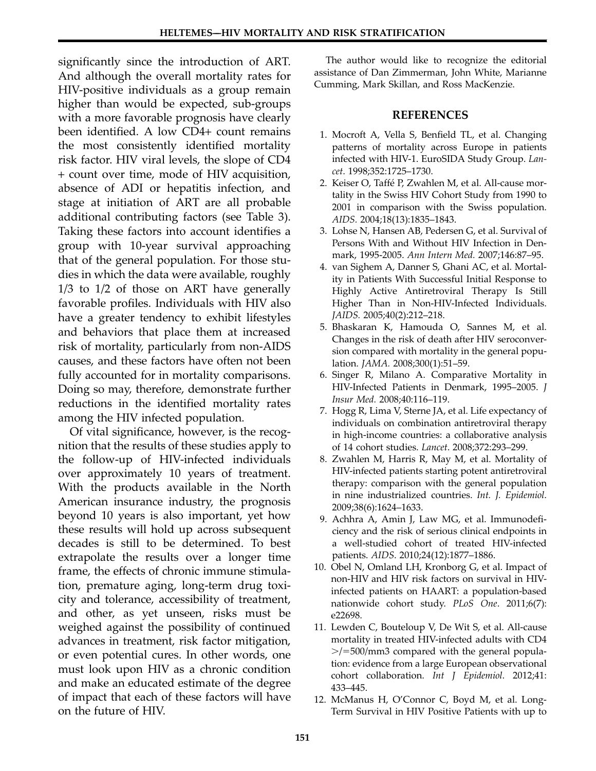significantly since the introduction of ART. And although the overall mortality rates for HIV-positive individuals as a group remain higher than would be expected, sub-groups with a more favorable prognosis have clearly been identified. A low CD4+ count remains the most consistently identified mortality risk factor. HIV viral levels, the slope of CD4 + count over time, mode of HIV acquisition, absence of ADI or hepatitis infection, and stage at initiation of ART are all probable additional contributing factors (see Table 3). Taking these factors into account identifies a group with 10-year survival approaching that of the general population. For those studies in which the data were available, roughly 1/3 to 1/2 of those on ART have generally favorable profiles. Individuals with HIV also have a greater tendency to exhibit lifestyles and behaviors that place them at increased risk of mortality, particularly from non-AIDS causes, and these factors have often not been fully accounted for in mortality comparisons. Doing so may, therefore, demonstrate further reductions in the identified mortality rates among the HIV infected population.

Of vital significance, however, is the recognition that the results of these studies apply to the follow-up of HIV-infected individuals over approximately 10 years of treatment. With the products available in the North American insurance industry, the prognosis beyond 10 years is also important, yet how these results will hold up across subsequent decades is still to be determined. To best extrapolate the results over a longer time frame, the effects of chronic immune stimulation, premature aging, long-term drug toxicity and tolerance, accessibility of treatment, and other, as yet unseen, risks must be weighed against the possibility of continued advances in treatment, risk factor mitigation, or even potential cures. In other words, one must look upon HIV as a chronic condition and make an educated estimate of the degree of impact that each of these factors will have on the future of HIV.

The author would like to recognize the editorial assistance of Dan Zimmerman, John White, Marianne Cumming, Mark Skillan, and Ross MacKenzie.

#### REFERENCES

- 1. Mocroft A, Vella S, Benfield TL, et al. Changing patterns of mortality across Europe in patients infected with HIV-1. EuroSIDA Study Group. Lancet. 1998;352:1725–1730.
- 2. Keiser O, Taffé P, Zwahlen M, et al. All-cause mortality in the Swiss HIV Cohort Study from 1990 to 2001 in comparison with the Swiss population. AIDS. 2004;18(13):1835–1843.
- 3. Lohse N, Hansen AB, Pedersen G, et al. Survival of Persons With and Without HIV Infection in Denmark, 1995-2005. Ann Intern Med. 2007;146:87–95.
- 4. van Sighem A, Danner S, Ghani AC, et al. Mortality in Patients With Successful Initial Response to Highly Active Antiretroviral Therapy Is Still Higher Than in Non-HIV-Infected Individuals. JAIDS. 2005;40(2):212–218.
- 5. Bhaskaran K, Hamouda O, Sannes M, et al. Changes in the risk of death after HIV seroconversion compared with mortality in the general population. JAMA. 2008;300(1):51–59.
- 6. Singer R, Milano A. Comparative Mortality in HIV-Infected Patients in Denmark, 1995–2005. J Insur Med. 2008;40:116–119.
- 7. Hogg R, Lima V, Sterne JA, et al. Life expectancy of individuals on combination antiretroviral therapy in high-income countries: a collaborative analysis of 14 cohort studies. Lancet. 2008;372:293–299.
- 8. Zwahlen M, Harris R, May M, et al. Mortality of HIV-infected patients starting potent antiretroviral therapy: comparison with the general population in nine industrialized countries. Int. J. Epidemiol. 2009;38(6):1624–1633.
- 9. Achhra A, Amin J, Law MG, et al. Immunodeficiency and the risk of serious clinical endpoints in a well-studied cohort of treated HIV-infected patients. AIDS. 2010;24(12):1877–1886.
- 10. Obel N, Omland LH, Kronborg G, et al. Impact of non-HIV and HIV risk factors on survival in HIVinfected patients on HAART: a population-based nationwide cohort study. PLoS One. 2011;6(7): e22698.
- 11. Lewden C, Bouteloup V, De Wit S, et al. All-cause mortality in treated HIV-infected adults with CD4  $\ge$ /=500/mm3 compared with the general population: evidence from a large European observational cohort collaboration. Int J Epidemiol. 2012;41: 433–445.
- 12. McManus H, O'Connor C, Boyd M, et al. Long-Term Survival in HIV Positive Patients with up to